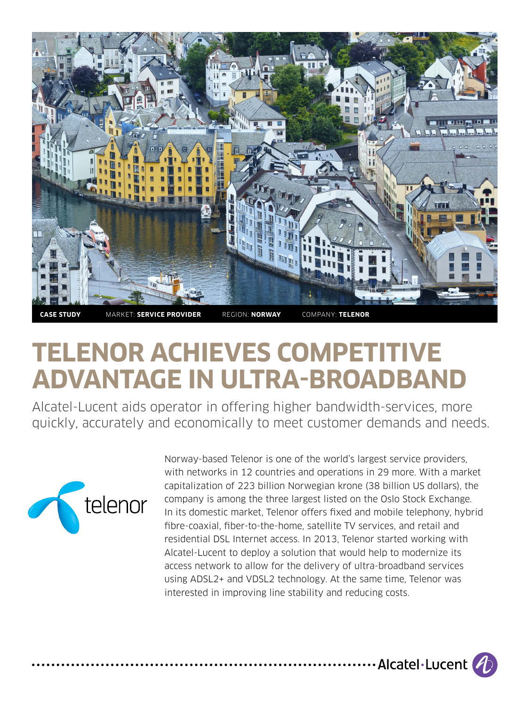

# **TELENOR ACHIEVES COMPETITIVE ADVANTAGE IN ULTRA-BROADBAND**

Alcatel-Lucent aids operator in offering higher bandwidth-services, more quickly, accurately and economically to meet customer demands and needs.



Norway-based Telenor is one of the world's largest service providers, with networks in 12 countries and operations in 29 more. With a market capitalization of 223 billion Norwegian krone (38 billion US dollars), the company is among the three largest listed on the Oslo Stock Exchange. In its domestic market, Telenor offers fixed and mobile telephony, hybrid fibre-coaxial, fiber-to-the-home, satellite TV services, and retail and residential DSL Internet access. In 2013, Telenor started working with Alcatel-Lucent to deploy a solution that would help to modernize its access network to allow for the delivery of ultra-broadband services using ADSL2+ and VDSL2 technology. At the same time, Telenor was interested in improving line stability and reducing costs.

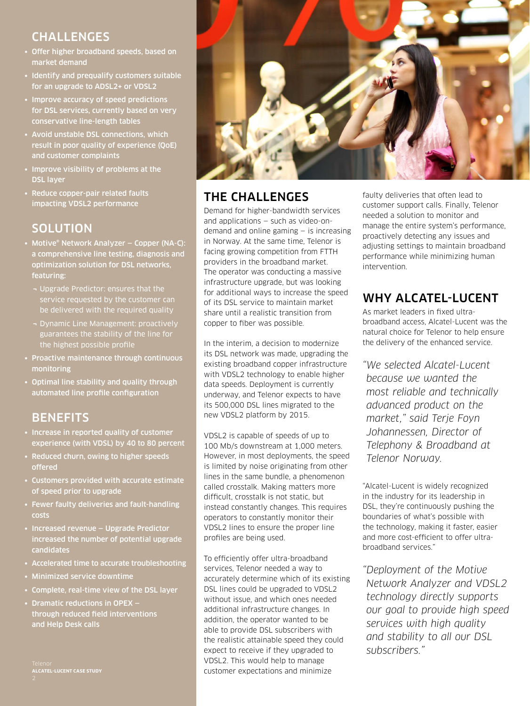#### CHALLENGES

- Offer higher broadband speeds, based on market demand
- Identify and prequalify customers suitable for an upgrade to ADSL2+ or VDSL2
- Improve accuracy of speed predictions for DSL services, currently based on very conservative line-length tables
- Avoid unstable DSL connections, which result in poor quality of experience (QoE) and customer complaints
- Improve visibility of problems at the DSL layer
- Reduce copper-pair related faults impacting VDSL2 performance

## **SOLUTION**

- Motive® Network Analyzer Copper (NA-C): a comprehensive line testing, diagnosis and optimization solution for DSL networks, featuring:
	- ¬ Upgrade Predictor: ensures that the service requested by the customer can
	- ¬ Dynamic Line Management: proactively guarantees the stability of the line for the highest possible profile
- Proactive maintenance through continuous monitoring
- Optimal line stability and quality through automated line profile configuration

### **BENEFITS**

- Increase in reported quality of customer experience (with VDSL) by 40 to 80 percent
- Reduced churn, owing to higher speeds offered
- Customers provided with accurate estimate of speed prior to upgrade
- Fewer faulty deliveries and fault-handling costs
- Increased revenue Upgrade Predictor increased the number of potential upgrade candidates
- Accelerated time to accurate troubleshooting
- Minimized service downtime
- Complete, real-time view of the DSL layer
- Dramatic reductions in OPEX through reduced field interventions and Help Desk calls

Telenor **ALCATEL-LUCENT CASE STUDY**



## THE CHALLENGES

Demand for higher-bandwidth services and applications — such as video-ondemand and online gaming — is increasing in Norway. At the same time, Telenor is facing growing competition from FTTH providers in the broadband market. The operator was conducting a massive infrastructure upgrade, but was looking for additional ways to increase the speed of its DSL service to maintain market share until a realistic transition from copper to fiber was possible.

In the interim, a decision to modernize its DSL network was made, upgrading the existing broadband copper infrastructure with VDSL2 technology to enable higher data speeds. Deployment is currently underway, and Telenor expects to have its 500,000 DSL lines migrated to the new VDSL2 platform by 2015.

VDSL2 is capable of speeds of up to 100 Mb/s downstream at 1,000 meters. However, in most deployments, the speed is limited by noise originating from other lines in the same bundle, a phenomenon called crosstalk. Making matters more difficult, crosstalk is not static, but instead constantly changes. This requires operators to constantly monitor their VDSL2 lines to ensure the proper line profiles are being used.

To efficiently offer ultra-broadband services, Telenor needed a way to accurately determine which of its existing DSL lines could be upgraded to VDSL2 without issue, and which ones needed additional infrastructure changes. In addition, the operator wanted to be able to provide DSL subscribers with the realistic attainable speed they could expect to receive if they upgraded to VDSL2. This would help to manage customer expectations and minimize

faulty deliveries that often lead to customer support calls. Finally, Telenor needed a solution to monitor and manage the entire system's performance, proactively detecting any issues and adjusting settings to maintain broadband performance while minimizing human intervention.

### WHY ALCATEL-LUCENT

As market leaders in fixed ultrabroadband access, Alcatel-Lucent was the natural choice for Telenor to help ensure the delivery of the enhanced service.

*"We selected Alcatel-Lucent because we wanted the most reliable and technically advanced product on the market," said Terje Foyn Johannessen, Director of Telephony & Broadband at Telenor Norway.* 

"Alcatel-Lucent is widely recognized in the industry for its leadership in DSL, they're continuously pushing the boundaries of what's possible with the technology, making it faster, easier and more cost-efficient to offer ultrabroadband services."

*"Deployment of the Motive Network Analyzer and VDSL2 technology directly supports our goal to provide high speed services with high quality and stability to all our DSL subscribers."*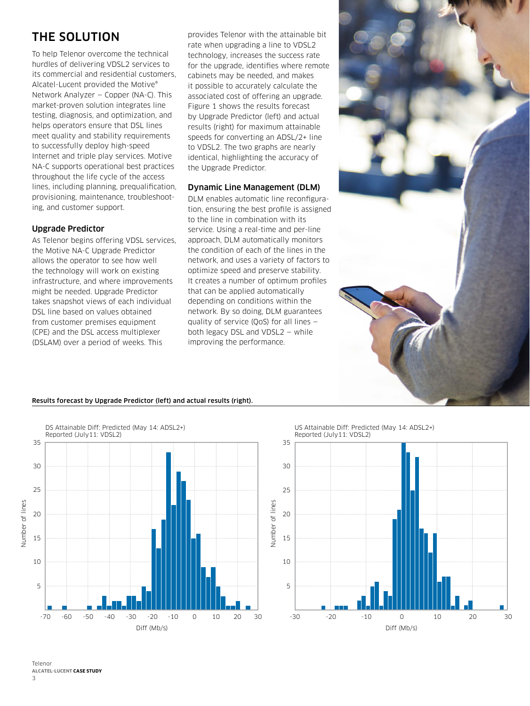#### THE SOLUTION

To help Telenor overcome the technical hurdles of delivering VDSL2 services to its commercial and residential customers, Alcatel-Lucent provided the Motive® Network Analyzer — Copper (NA-C). This market-proven solution integrates line testing, diagnosis, and optimization, and helps operators ensure that DSL lines meet quality and stability requirements to successfully deploy high-speed Internet and triple play services. Motive NA-C supports operational best practices throughout the life cycle of the access lines, including planning, prequalification, provisioning, maintenance, troubleshooting, and customer support.

#### Upgrade Predictor

As Telenor begins offering VDSL services, the Motive NA-C Upgrade Predictor allows the operator to see how well the technology will work on existing infrastructure, and where improvements might be needed. Upgrade Predictor takes snapshot views of each individual DSL line based on values obtained from customer premises equipment (CPE) and the DSL access multiplexer (DSLAM) over a period of weeks. This

provides Telenor with the attainable bit rate when upgrading a line to VDSL2 technology, increases the success rate for the upgrade, identifies where remote cabinets may be needed, and makes it possible to accurately calculate the associated cost of offering an upgrade. Figure 1 shows the results forecast by Upgrade Predictor (left) and actual results (right) for maximum attainable speeds for converting an ADSL/2+ line to VDSL2. The two graphs are nearly identical, highlighting the accuracy of the Upgrade Predictor.

#### Dynamic Line Management (DLM)

DLM enables automatic line reconfiguration, ensuring the best profile is assigned to the line in combination with its service. Using a real-time and per-line approach, DLM automatically monitors the condition of each of the lines in the network, and uses a variety of factors to optimize speed and preserve stability. It creates a number of optimum profiles that can be applied automatically depending on conditions within the network. By so doing, DLM guarantees quality of service (QoS) for all lines both legacy DSL and VDSL2 — while improving the performance.



#### Results forecast by Upgrade Predictor (left) and actual results (right).



US Attainable Diff: Predicted (May 14: ADSL2+) Reported (July11: VDSL2)



Telenor **ALCATEL-LUCENT CASE STUDY**